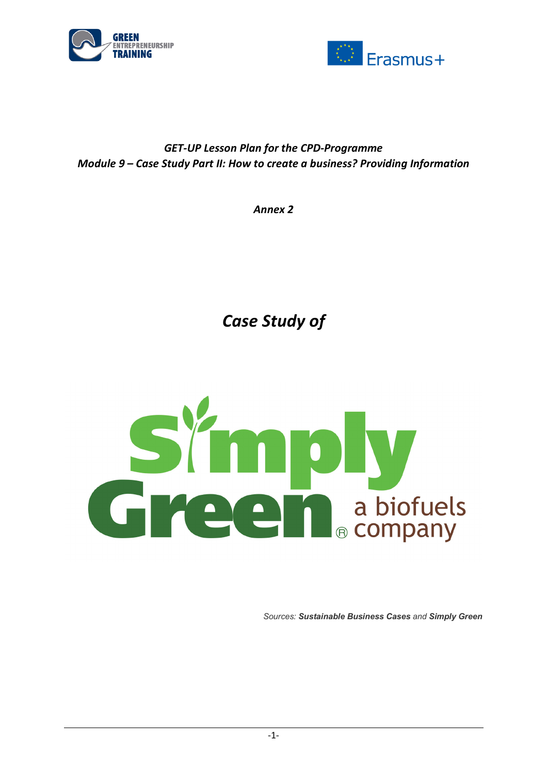



## *GET-UP Lesson Plan for the CPD-Programme Module 9 – Case Study Part II: How to create a business? Providing Information*

*Annex 2*

*Case Study of* 



*Sources: Sustainable Business Cases and Simply Green*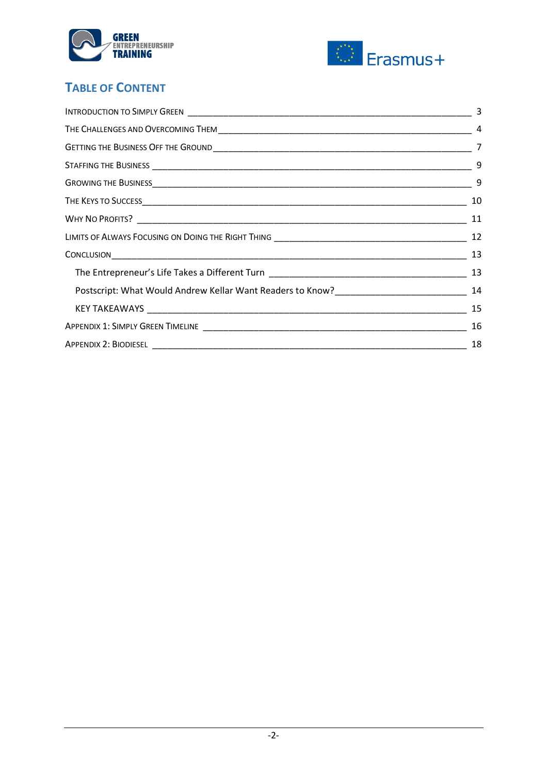



# **TABLE OF CONTENT**

| 3  |
|----|
| -4 |
|    |
| 9  |
|    |
| 10 |
|    |
|    |
|    |
|    |
|    |
| 15 |
| 16 |
| 18 |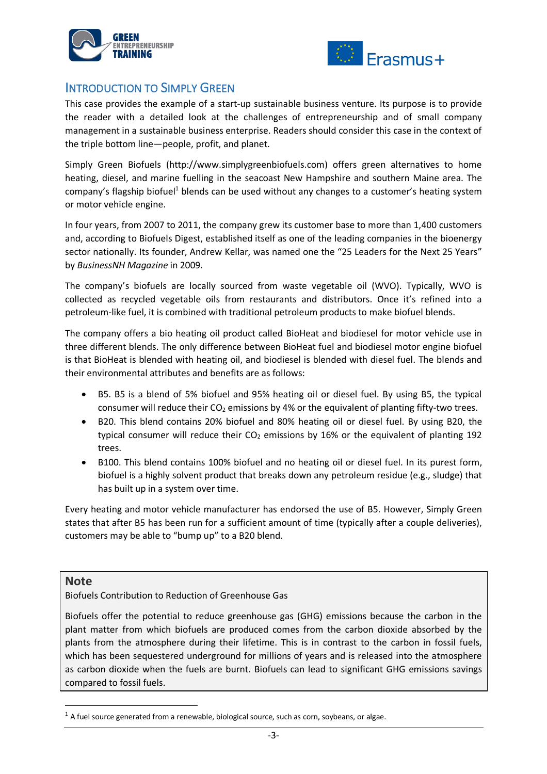



### INTRODUCTION TO SIMPLY GREEN

This case provides the example of a start-up sustainable business venture. Its purpose is to provide the reader with a detailed look at the challenges of entrepreneurship and of small company management in a sustainable business enterprise. Readers should consider this case in the context of the triple bottom line—people, profit, and planet.

Simply Green Biofuels (http://www.simplygreenbiofuels.com) offers green alternatives to home heating, diesel, and marine fuelling in the seacoast New Hampshire and southern Maine area. The company's flagship biofuel<sup>1</sup> blends can be used without any changes to a customer's heating system or motor vehicle engine.

In four years, from 2007 to 2011, the company grew its customer base to more than 1,400 customers and, according to Biofuels Digest, established itself as one of the leading companies in the bioenergy sector nationally. Its founder, Andrew Kellar, was named one the "25 Leaders for the Next 25 Years" by *BusinessNH Magazine* in 2009.

The company's biofuels are locally sourced from waste vegetable oil (WVO). Typically, WVO is collected as recycled vegetable oils from restaurants and distributors. Once it's refined into a petroleum-like fuel, it is combined with traditional petroleum products to make biofuel blends.

The company offers a bio heating oil product called BioHeat and biodiesel for motor vehicle use in three different blends. The only difference between BioHeat fuel and biodiesel motor engine biofuel is that BioHeat is blended with heating oil, and biodiesel is blended with diesel fuel. The blends and their environmental attributes and benefits are as follows:

- B5. B5 is a blend of 5% biofuel and 95% heating oil or diesel fuel. By using B5, the typical consumer will reduce their  $CO<sub>2</sub>$  emissions by 4% or the equivalent of planting fifty-two trees.
- B20. This blend contains 20% biofuel and 80% heating oil or diesel fuel. By using B20, the typical consumer will reduce their  $CO<sub>2</sub>$  emissions by 16% or the equivalent of planting 192 trees.
- B100. This blend contains 100% biofuel and no heating oil or diesel fuel. In its purest form, biofuel is a highly solvent product that breaks down any petroleum residue (e.g., sludge) that has built up in a system over time.

Every heating and motor vehicle manufacturer has endorsed the use of B5. However, Simply Green states that after B5 has been run for a sufficient amount of time (typically after a couple deliveries), customers may be able to "bump up" to a B20 blend.

#### **Note**

Biofuels Contribution to Reduction of Greenhouse Gas

Biofuels offer the potential to reduce greenhouse gas (GHG) emissions because the carbon in the plant matter from which biofuels are produced comes from the carbon dioxide absorbed by the plants from the atmosphere during their lifetime. This is in contrast to the carbon in fossil fuels, which has been sequestered underground for millions of years and is released into the atmosphere as carbon dioxide when the fuels are burnt. Biofuels can lead to significant GHG emissions savings compared to fossil fuels.

 $<sup>1</sup>$  A fuel source generated from a renewable, biological source, such as corn, soybeans, or algae.</sup>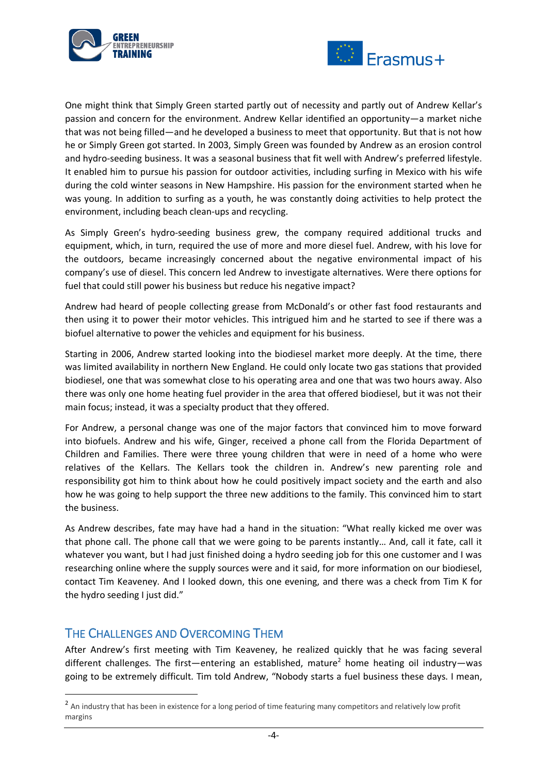



One might think that Simply Green started partly out of necessity and partly out of Andrew Kellar's passion and concern for the environment. Andrew Kellar identified an opportunity—a market niche that was not being filled—and he developed a business to meet that opportunity. But that is not how he or Simply Green got started. In 2003, Simply Green was founded by Andrew as an erosion control and hydro-seeding business. It was a seasonal business that fit well with Andrew's preferred lifestyle. It enabled him to pursue his passion for outdoor activities, including surfing in Mexico with his wife during the cold winter seasons in New Hampshire. His passion for the environment started when he was young. In addition to surfing as a youth, he was constantly doing activities to help protect the environment, including beach clean-ups and recycling.

As Simply Green's hydro-seeding business grew, the company required additional trucks and equipment, which, in turn, required the use of more and more diesel fuel. Andrew, with his love for the outdoors, became increasingly concerned about the negative environmental impact of his company's use of diesel. This concern led Andrew to investigate alternatives. Were there options for fuel that could still power his business but reduce his negative impact?

Andrew had heard of people collecting grease from McDonald's or other fast food restaurants and then using it to power their motor vehicles. This intrigued him and he started to see if there was a biofuel alternative to power the vehicles and equipment for his business.

Starting in 2006, Andrew started looking into the biodiesel market more deeply. At the time, there was limited availability in northern New England. He could only locate two gas stations that provided biodiesel, one that was somewhat close to his operating area and one that was two hours away. Also there was only one home heating fuel provider in the area that offered biodiesel, but it was not their main focus; instead, it was a specialty product that they offered.

For Andrew, a personal change was one of the major factors that convinced him to move forward into biofuels. Andrew and his wife, Ginger, received a phone call from the Florida Department of Children and Families. There were three young children that were in need of a home who were relatives of the Kellars. The Kellars took the children in. Andrew's new parenting role and responsibility got him to think about how he could positively impact society and the earth and also how he was going to help support the three new additions to the family. This convinced him to start the business.

As Andrew describes, fate may have had a hand in the situation: "What really kicked me over was that phone call. The phone call that we were going to be parents instantly… And, call it fate, call it whatever you want, but I had just finished doing a hydro seeding job for this one customer and I was researching online where the supply sources were and it said, for more information on our biodiesel, contact Tim Keaveney. And I looked down, this one evening, and there was a check from Tim K for the hydro seeding I just did."

### THE CHALLENGES AND OVERCOMING THEM

After Andrew's first meeting with Tim Keaveney, he realized quickly that he was facing several different challenges. The first—entering an established, mature<sup>2</sup> home heating oil industry—was going to be extremely difficult. Tim told Andrew, "Nobody starts a fuel business these days. I mean,

<sup>&</sup>lt;sup>2</sup> An industry that has been in existence for a long period of time featuring many competitors and relatively low profit margins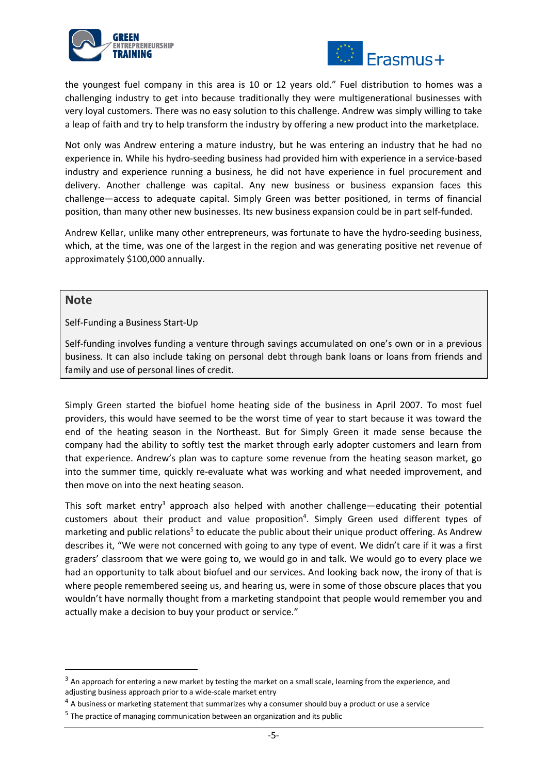



the youngest fuel company in this area is 10 or 12 years old." Fuel distribution to homes was a challenging industry to get into because traditionally they were multigenerational businesses with very loyal customers. There was no easy solution to this challenge. Andrew was simply willing to take a leap of faith and try to help transform the industry by offering a new product into the marketplace.

Not only was Andrew entering a mature industry, but he was entering an industry that he had no experience in. While his hydro-seeding business had provided him with experience in a service-based industry and experience running a business, he did not have experience in fuel procurement and delivery. Another challenge was capital. Any new business or business expansion faces this challenge—access to adequate capital. Simply Green was better positioned, in terms of financial position, than many other new businesses. Its new business expansion could be in part self-funded.

Andrew Kellar, unlike many other entrepreneurs, was fortunate to have the hydro-seeding business, which, at the time, was one of the largest in the region and was generating positive net revenue of approximately \$100,000 annually.

#### **Note**

Self-Funding a Business Start-Up

Self-funding involves funding a venture through savings accumulated on one's own or in a previous business. It can also include taking on personal debt through bank loans or loans from friends and family and use of personal lines of credit.

Simply Green started the biofuel home heating side of the business in April 2007. To most fuel providers, this would have seemed to be the worst time of year to start because it was toward the end of the heating season in the Northeast. But for Simply Green it made sense because the company had the ability to softly test the market through early adopter customers and learn from that experience. Andrew's plan was to capture some revenue from the heating season market, go into the summer time, quickly re-evaluate what was working and what needed improvement, and then move on into the next heating season.

This soft market entry<sup>3</sup> approach also helped with another challenge—educating their potential customers about their product and value proposition<sup>4</sup>. Simply Green used different types of marketing and public relations<sup>5</sup> to educate the public about their unique product offering. As Andrew describes it, "We were not concerned with going to any type of event. We didn't care if it was a first graders' classroom that we were going to, we would go in and talk. We would go to every place we had an opportunity to talk about biofuel and our services. And looking back now, the irony of that is where people remembered seeing us, and hearing us, were in some of those obscure places that you wouldn't have normally thought from a marketing standpoint that people would remember you and actually make a decision to buy your product or service."

<sup>&</sup>lt;sup>3</sup> An approach for entering a new market by testing the market on a small scale, learning from the experience, and adjusting business approach prior to a wide-scale market entry

<sup>&</sup>lt;sup>4</sup> A business or marketing statement that summarizes why a consumer should buy a product or use a service

<sup>&</sup>lt;sup>5</sup> The practice of managing communication between an organization and its public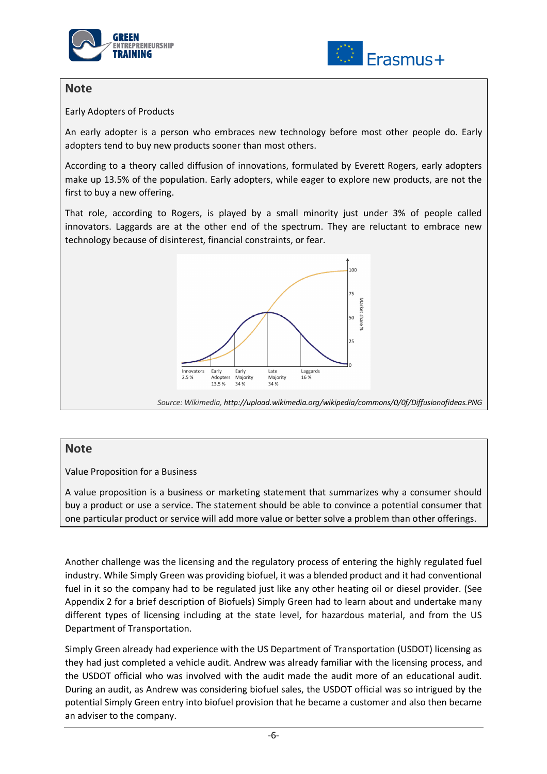



### **Note**

Early Adopters of Products

An early adopter is a person who embraces new technology before most other people do. Early adopters tend to buy new products sooner than most others.

According to a theory called diffusion of innovations, formulated by Everett Rogers, early adopters make up 13.5% of the population. Early adopters, while eager to explore new products, are not the first to buy a new offering.

That role, according to Rogers, is played by a small minority just under 3% of people called innovators. Laggards are at the other end of the spectrum. They are reluctant to embrace new technology because of disinterest, financial constraints, or fear.



*Source: Wikimedia, http://upload.wikimedia.org/wikipedia/commons/0/0f/Diffusionofideas.PNG*

#### **Note**

Value Proposition for a Business

A value proposition is a business or marketing statement that summarizes why a consumer should buy a product or use a service. The statement should be able to convince a potential consumer that one particular product or service will add more value or better solve a problem than other offerings.

Another challenge was the licensing and the regulatory process of entering the highly regulated fuel industry. While Simply Green was providing biofuel, it was a blended product and it had conventional fuel in it so the company had to be regulated just like any other heating oil or diesel provider. (See Appendix 2 for a brief description of Biofuels) Simply Green had to learn about and undertake many different types of licensing including at the state level, for hazardous material, and from the US Department of Transportation.

Simply Green already had experience with the US Department of Transportation (USDOT) licensing as they had just completed a vehicle audit. Andrew was already familiar with the licensing process, and the USDOT official who was involved with the audit made the audit more of an educational audit. During an audit, as Andrew was considering biofuel sales, the USDOT official was so intrigued by the potential Simply Green entry into biofuel provision that he became a customer and also then became an adviser to the company.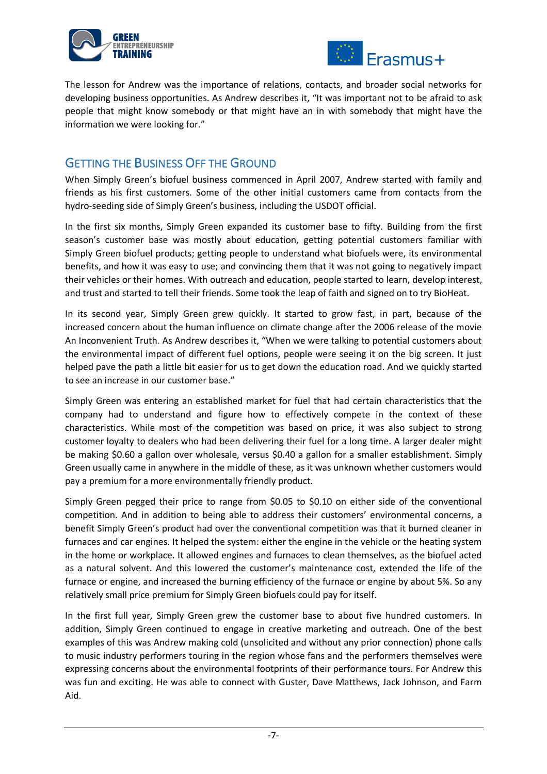



The lesson for Andrew was the importance of relations, contacts, and broader social networks for developing business opportunities. As Andrew describes it, "It was important not to be afraid to ask people that might know somebody or that might have an in with somebody that might have the information we were looking for."

### GETTING THE BUSINESS OFF THE GROUND

When Simply Green's biofuel business commenced in April 2007, Andrew started with family and friends as his first customers. Some of the other initial customers came from contacts from the hydro-seeding side of Simply Green's business, including the USDOT official.

In the first six months, Simply Green expanded its customer base to fifty. Building from the first season's customer base was mostly about education, getting potential customers familiar with Simply Green biofuel products; getting people to understand what biofuels were, its environmental benefits, and how it was easy to use; and convincing them that it was not going to negatively impact their vehicles or their homes. With outreach and education, people started to learn, develop interest, and trust and started to tell their friends. Some took the leap of faith and signed on to try BioHeat.

In its second year, Simply Green grew quickly. It started to grow fast, in part, because of the increased concern about the human influence on climate change after the 2006 release of the movie An Inconvenient Truth. As Andrew describes it, "When we were talking to potential customers about the environmental impact of different fuel options, people were seeing it on the big screen. It just helped pave the path a little bit easier for us to get down the education road. And we quickly started to see an increase in our customer base."

Simply Green was entering an established market for fuel that had certain characteristics that the company had to understand and figure how to effectively compete in the context of these characteristics. While most of the competition was based on price, it was also subject to strong customer loyalty to dealers who had been delivering their fuel for a long time. A larger dealer might be making \$0.60 a gallon over wholesale, versus \$0.40 a gallon for a smaller establishment. Simply Green usually came in anywhere in the middle of these, as it was unknown whether customers would pay a premium for a more environmentally friendly product.

Simply Green pegged their price to range from \$0.05 to \$0.10 on either side of the conventional competition. And in addition to being able to address their customers' environmental concerns, a benefit Simply Green's product had over the conventional competition was that it burned cleaner in furnaces and car engines. It helped the system: either the engine in the vehicle or the heating system in the home or workplace. It allowed engines and furnaces to clean themselves, as the biofuel acted as a natural solvent. And this lowered the customer's maintenance cost, extended the life of the furnace or engine, and increased the burning efficiency of the furnace or engine by about 5%. So any relatively small price premium for Simply Green biofuels could pay for itself.

In the first full year, Simply Green grew the customer base to about five hundred customers. In addition, Simply Green continued to engage in creative marketing and outreach. One of the best examples of this was Andrew making cold (unsolicited and without any prior connection) phone calls to music industry performers touring in the region whose fans and the performers themselves were expressing concerns about the environmental footprints of their performance tours. For Andrew this was fun and exciting. He was able to connect with Guster, Dave Matthews, Jack Johnson, and Farm Aid.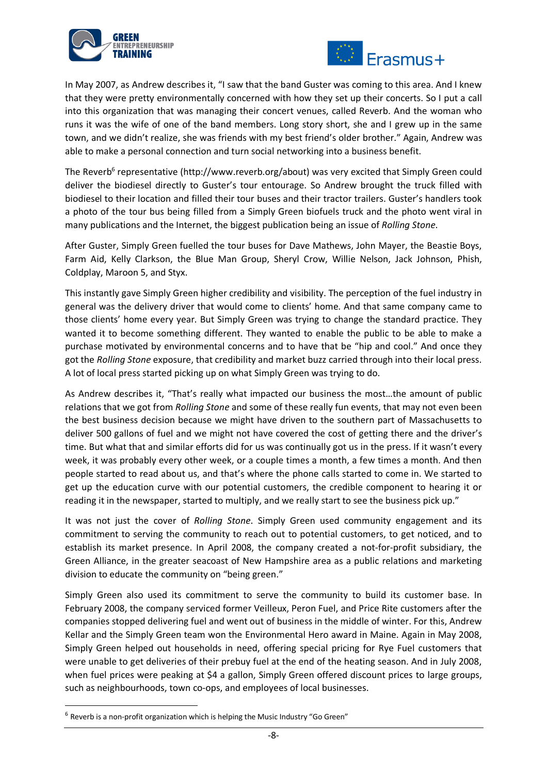



In May 2007, as Andrew describes it, "I saw that the band Guster was coming to this area. And I knew that they were pretty environmentally concerned with how they set up their concerts. So I put a call into this organization that was managing their concert venues, called Reverb. And the woman who runs it was the wife of one of the band members. Long story short, she and I grew up in the same town, and we didn't realize, she was friends with my best friend's older brother." Again, Andrew was able to make a personal connection and turn social networking into a business benefit.

The Reverb<sup>6</sup> representative (http://www.reverb.org/about) was very excited that Simply Green could deliver the biodiesel directly to Guster's tour entourage. So Andrew brought the truck filled with biodiesel to their location and filled their tour buses and their tractor trailers. Guster's handlers took a photo of the tour bus being filled from a Simply Green biofuels truck and the photo went viral in many publications and the Internet, the biggest publication being an issue of *Rolling Stone*.

After Guster, Simply Green fuelled the tour buses for Dave Mathews, John Mayer, the Beastie Boys, Farm Aid, Kelly Clarkson, the Blue Man Group, Sheryl Crow, Willie Nelson, Jack Johnson, Phish, Coldplay, Maroon 5, and Styx.

This instantly gave Simply Green higher credibility and visibility. The perception of the fuel industry in general was the delivery driver that would come to clients' home. And that same company came to those clients' home every year. But Simply Green was trying to change the standard practice. They wanted it to become something different. They wanted to enable the public to be able to make a purchase motivated by environmental concerns and to have that be "hip and cool." And once they got the *Rolling Stone* exposure, that credibility and market buzz carried through into their local press. A lot of local press started picking up on what Simply Green was trying to do.

As Andrew describes it, "That's really what impacted our business the most…the amount of public relations that we got from *Rolling Stone* and some of these really fun events, that may not even been the best business decision because we might have driven to the southern part of Massachusetts to deliver 500 gallons of fuel and we might not have covered the cost of getting there and the driver's time. But what that and similar efforts did for us was continually got us in the press. If it wasn't every week, it was probably every other week, or a couple times a month, a few times a month. And then people started to read about us, and that's where the phone calls started to come in. We started to get up the education curve with our potential customers, the credible component to hearing it or reading it in the newspaper, started to multiply, and we really start to see the business pick up."

It was not just the cover of *Rolling Stone*. Simply Green used community engagement and its commitment to serving the community to reach out to potential customers, to get noticed, and to establish its market presence. In April 2008, the company created a not-for-profit subsidiary, the Green Alliance, in the greater seacoast of New Hampshire area as a public relations and marketing division to educate the community on "being green."

Simply Green also used its commitment to serve the community to build its customer base. In February 2008, the company serviced former Veilleux, Peron Fuel, and Price Rite customers after the companies stopped delivering fuel and went out of business in the middle of winter. For this, Andrew Kellar and the Simply Green team won the Environmental Hero award in Maine. Again in May 2008, Simply Green helped out households in need, offering special pricing for Rye Fuel customers that were unable to get deliveries of their prebuy fuel at the end of the heating season. And in July 2008, when fuel prices were peaking at \$4 a gallon, Simply Green offered discount prices to large groups, such as neighbourhoods, town co-ops, and employees of local businesses.

 $6$  Reverb is a non-profit organization which is helping the Music Industry "Go Green"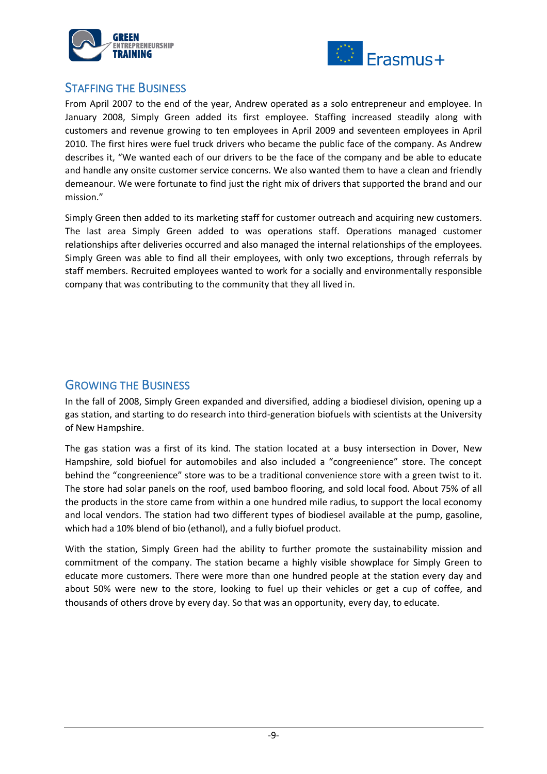



### STAFFING THE BUSINESS

From April 2007 to the end of the year, Andrew operated as a solo entrepreneur and employee. In January 2008, Simply Green added its first employee. Staffing increased steadily along with customers and revenue growing to ten employees in April 2009 and seventeen employees in April 2010. The first hires were fuel truck drivers who became the public face of the company. As Andrew describes it, "We wanted each of our drivers to be the face of the company and be able to educate and handle any onsite customer service concerns. We also wanted them to have a clean and friendly demeanour. We were fortunate to find just the right mix of drivers that supported the brand and our mission."

Simply Green then added to its marketing staff for customer outreach and acquiring new customers. The last area Simply Green added to was operations staff. Operations managed customer relationships after deliveries occurred and also managed the internal relationships of the employees. Simply Green was able to find all their employees, with only two exceptions, through referrals by staff members. Recruited employees wanted to work for a socially and environmentally responsible company that was contributing to the community that they all lived in.

### GROWING THE BUSINESS

In the fall of 2008, Simply Green expanded and diversified, adding a biodiesel division, opening up a gas station, and starting to do research into third-generation biofuels with scientists at the University of New Hampshire.

The gas station was a first of its kind. The station located at a busy intersection in Dover, New Hampshire, sold biofuel for automobiles and also included a "congreenience" store. The concept behind the "congreenience" store was to be a traditional convenience store with a green twist to it. The store had solar panels on the roof, used bamboo flooring, and sold local food. About 75% of all the products in the store came from within a one hundred mile radius, to support the local economy and local vendors. The station had two different types of biodiesel available at the pump, gasoline, which had a 10% blend of bio (ethanol), and a fully biofuel product.

With the station, Simply Green had the ability to further promote the sustainability mission and commitment of the company. The station became a highly visible showplace for Simply Green to educate more customers. There were more than one hundred people at the station every day and about 50% were new to the store, looking to fuel up their vehicles or get a cup of coffee, and thousands of others drove by every day. So that was an opportunity, every day, to educate.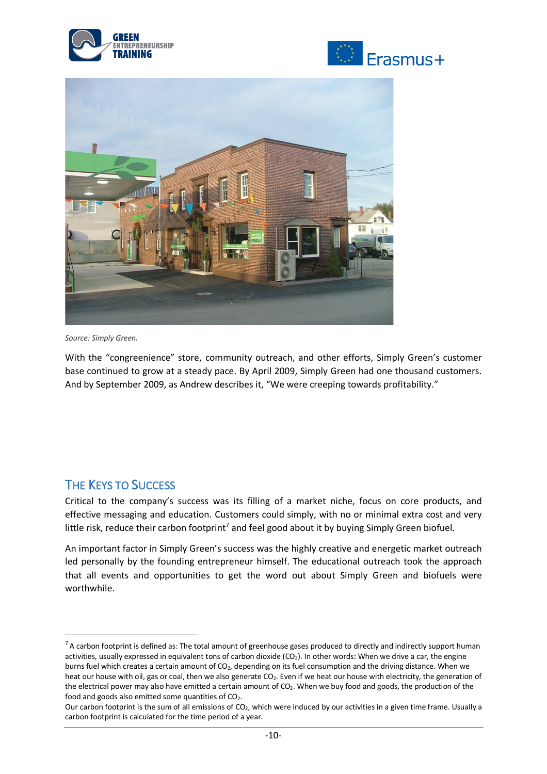





*Source: Simply Green.*

With the "congreenience" store, community outreach, and other efforts, Simply Green's customer base continued to grow at a steady pace. By April 2009, Simply Green had one thousand customers. And by September 2009, as Andrew describes it, "We were creeping towards profitability."

## THE KEYS TO SUCCESS

Critical to the company's success was its filling of a market niche, focus on core products, and effective messaging and education. Customers could simply, with no or minimal extra cost and very little risk, reduce their carbon footprint<sup>7</sup> and feel good about it by buying Simply Green biofuel.

An important factor in Simply Green's success was the highly creative and energetic market outreach led personally by the founding entrepreneur himself. The educational outreach took the approach that all events and opportunities to get the word out about Simply Green and biofuels were worthwhile.

 $7$  A carbon footprint is defined as: The total amount of greenhouse gases produced to directly and indirectly support human activities, usually expressed in equivalent tons of carbon dioxide (CO<sub>2</sub>). In other words: When we drive a car, the engine burns fuel which creates a certain amount of CO<sub>2</sub>, depending on its fuel consumption and the driving distance. When we heat our house with oil, gas or coal, then we also generate CO2. Even if we heat our house with electricity, the generation of the electrical power may also have emitted a certain amount of  $CO<sub>2</sub>$ . When we buy food and goods, the production of the food and goods also emitted some quantities of  $CO<sub>2</sub>$ .

Our carbon footprint is the sum of all emissions of CO2, which were induced by our activities in a given time frame. Usually a carbon footprint is calculated for the time period of a year.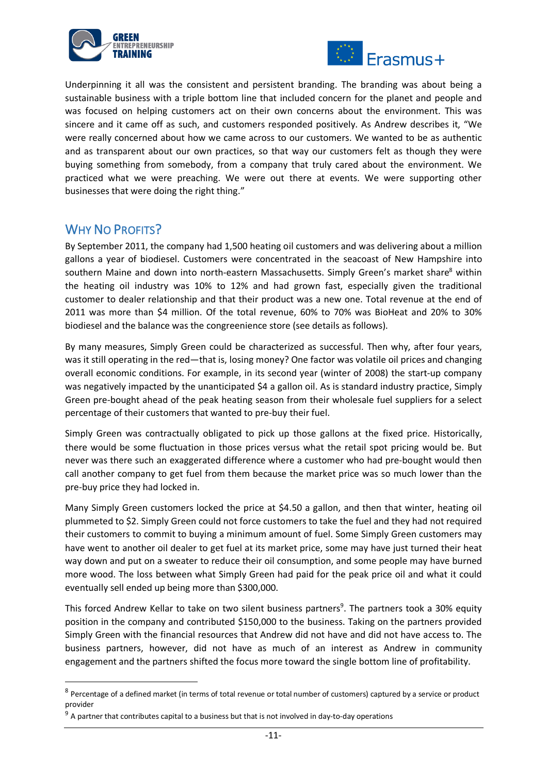



Underpinning it all was the consistent and persistent branding. The branding was about being a sustainable business with a triple bottom line that included concern for the planet and people and was focused on helping customers act on their own concerns about the environment. This was sincere and it came off as such, and customers responded positively. As Andrew describes it, "We were really concerned about how we came across to our customers. We wanted to be as authentic and as transparent about our own practices, so that way our customers felt as though they were buying something from somebody, from a company that truly cared about the environment. We practiced what we were preaching. We were out there at events. We were supporting other businesses that were doing the right thing."

## WHY NO PROFITS?

By September 2011, the company had 1,500 heating oil customers and was delivering about a million gallons a year of biodiesel. Customers were concentrated in the seacoast of New Hampshire into southern Maine and down into north-eastern Massachusetts. Simply Green's market share<sup>8</sup> within the heating oil industry was 10% to 12% and had grown fast, especially given the traditional customer to dealer relationship and that their product was a new one. Total revenue at the end of 2011 was more than \$4 million. Of the total revenue, 60% to 70% was BioHeat and 20% to 30% biodiesel and the balance was the congreenience store (see details as follows).

By many measures, Simply Green could be characterized as successful. Then why, after four years, was it still operating in the red—that is, losing money? One factor was volatile oil prices and changing overall economic conditions. For example, in its second year (winter of 2008) the start-up company was negatively impacted by the unanticipated \$4 a gallon oil. As is standard industry practice, Simply Green pre-bought ahead of the peak heating season from their wholesale fuel suppliers for a select percentage of their customers that wanted to pre-buy their fuel.

Simply Green was contractually obligated to pick up those gallons at the fixed price. Historically, there would be some fluctuation in those prices versus what the retail spot pricing would be. But never was there such an exaggerated difference where a customer who had pre-bought would then call another company to get fuel from them because the market price was so much lower than the pre-buy price they had locked in.

Many Simply Green customers locked the price at \$4.50 a gallon, and then that winter, heating oil plummeted to \$2. Simply Green could not force customers to take the fuel and they had not required their customers to commit to buying a minimum amount of fuel. Some Simply Green customers may have went to another oil dealer to get fuel at its market price, some may have just turned their heat way down and put on a sweater to reduce their oil consumption, and some people may have burned more wood. The loss between what Simply Green had paid for the peak price oil and what it could eventually sell ended up being more than \$300,000.

This forced Andrew Kellar to take on two silent business partners<sup>9</sup>. The partners took a 30% equity position in the company and contributed \$150,000 to the business. Taking on the partners provided Simply Green with the financial resources that Andrew did not have and did not have access to. The business partners, however, did not have as much of an interest as Andrew in community engagement and the partners shifted the focus more toward the single bottom line of profitability.

 $8$  Percentage of a defined market (in terms of total revenue or total number of customers) captured by a service or product provider

 $9$  A partner that contributes capital to a business but that is not involved in day-to-day operations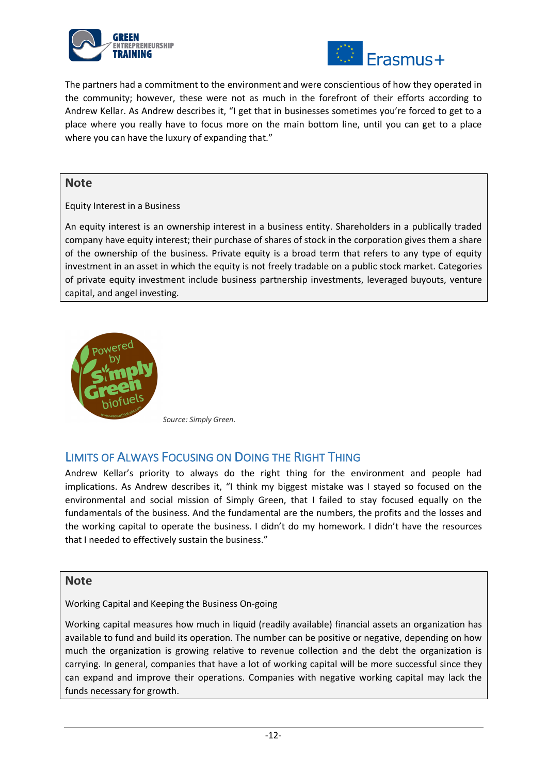



The partners had a commitment to the environment and were conscientious of how they operated in the community; however, these were not as much in the forefront of their efforts according to Andrew Kellar. As Andrew describes it, "I get that in businesses sometimes you're forced to get to a place where you really have to focus more on the main bottom line, until you can get to a place where you can have the luxury of expanding that."

#### **Note**

Equity Interest in a Business

An equity interest is an ownership interest in a business entity. Shareholders in a publically traded company have equity interest; their purchase of shares of stock in the corporation gives them a share of the ownership of the business. Private equity is a broad term that refers to any type of equity investment in an asset in which the equity is not freely tradable on a public stock market. Categories of private equity investment include business partnership investments, leveraged buyouts, venture capital, and angel investing.



*Source: Simply Green.*

## LIMITS OF ALWAYS FOCUSING ON DOING THE RIGHT THING

Andrew Kellar's priority to always do the right thing for the environment and people had implications. As Andrew describes it, "I think my biggest mistake was I stayed so focused on the environmental and social mission of Simply Green, that I failed to stay focused equally on the fundamentals of the business. And the fundamental are the numbers, the profits and the losses and the working capital to operate the business. I didn't do my homework. I didn't have the resources that I needed to effectively sustain the business."

### **Note**

Working Capital and Keeping the Business On-going

Working capital measures how much in liquid (readily available) financial assets an organization has available to fund and build its operation. The number can be positive or negative, depending on how much the organization is growing relative to revenue collection and the debt the organization is carrying. In general, companies that have a lot of working capital will be more successful since they can expand and improve their operations. Companies with negative working capital may lack the funds necessary for growth.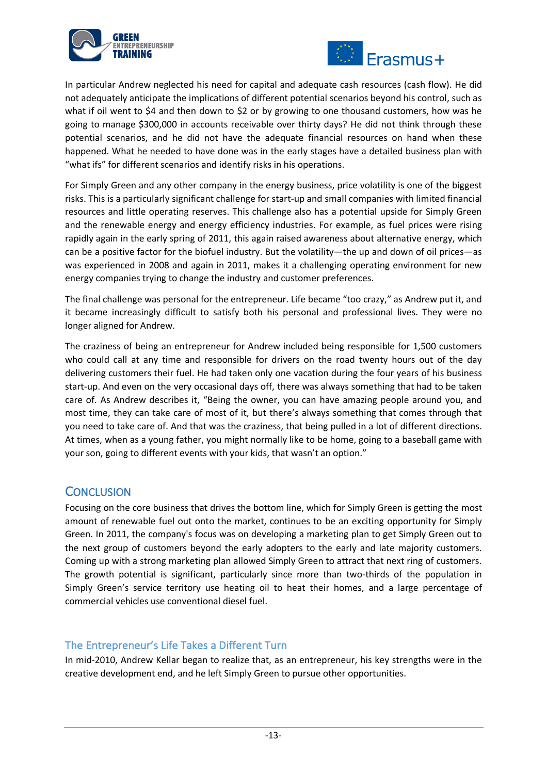



In particular Andrew neglected his need for capital and adequate cash resources (cash flow). He did not adequately anticipate the implications of different potential scenarios beyond his control, such as what if oil went to \$4 and then down to \$2 or by growing to one thousand customers, how was he going to manage \$300,000 in accounts receivable over thirty days? He did not think through these potential scenarios, and he did not have the adequate financial resources on hand when these happened. What he needed to have done was in the early stages have a detailed business plan with "what ifs" for different scenarios and identify risks in his operations.

For Simply Green and any other company in the energy business, price volatility is one of the biggest risks. This is a particularly significant challenge for start-up and small companies with limited financial resources and little operating reserves. This challenge also has a potential upside for Simply Green and the renewable energy and energy efficiency industries. For example, as fuel prices were rising rapidly again in the early spring of 2011, this again raised awareness about alternative energy, which can be a positive factor for the biofuel industry. But the volatility—the up and down of oil prices—as was experienced in 2008 and again in 2011, makes it a challenging operating environment for new energy companies trying to change the industry and customer preferences.

The final challenge was personal for the entrepreneur. Life became "too crazy," as Andrew put it, and it became increasingly difficult to satisfy both his personal and professional lives. They were no longer aligned for Andrew.

The craziness of being an entrepreneur for Andrew included being responsible for 1,500 customers who could call at any time and responsible for drivers on the road twenty hours out of the day delivering customers their fuel. He had taken only one vacation during the four years of his business start-up. And even on the very occasional days off, there was always something that had to be taken care of. As Andrew describes it, "Being the owner, you can have amazing people around you, and most time, they can take care of most of it, but there's always something that comes through that you need to take care of. And that was the craziness, that being pulled in a lot of different directions. At times, when as a young father, you might normally like to be home, going to a baseball game with your son, going to different events with your kids, that wasn't an option."

### **CONCLUSION**

Focusing on the core business that drives the bottom line, which for Simply Green is getting the most amount of renewable fuel out onto the market, continues to be an exciting opportunity for Simply Green. In 2011, the company's focus was on developing a marketing plan to get Simply Green out to the next group of customers beyond the early adopters to the early and late majority customers. Coming up with a strong marketing plan allowed Simply Green to attract that next ring of customers. The growth potential is significant, particularly since more than two-thirds of the population in Simply Green's service territory use heating oil to heat their homes, and a large percentage of commercial vehicles use conventional diesel fuel.

### The Entrepreneur's Life Takes a Different Turn

In mid-2010, Andrew Kellar began to realize that, as an entrepreneur, his key strengths were in the creative development end, and he left Simply Green to pursue other opportunities.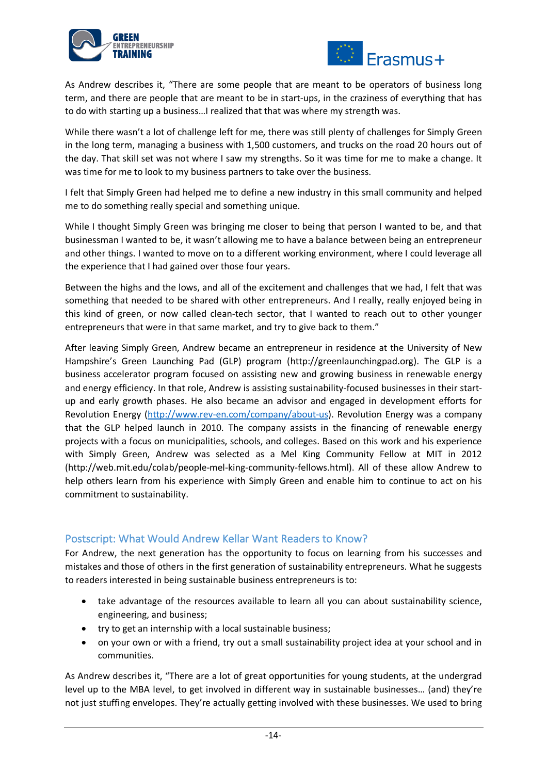



As Andrew describes it, "There are some people that are meant to be operators of business long term, and there are people that are meant to be in start-ups, in the craziness of everything that has to do with starting up a business…I realized that that was where my strength was.

While there wasn't a lot of challenge left for me, there was still plenty of challenges for Simply Green in the long term, managing a business with 1,500 customers, and trucks on the road 20 hours out of the day. That skill set was not where I saw my strengths. So it was time for me to make a change. It was time for me to look to my business partners to take over the business.

I felt that Simply Green had helped me to define a new industry in this small community and helped me to do something really special and something unique.

While I thought Simply Green was bringing me closer to being that person I wanted to be, and that businessman I wanted to be, it wasn't allowing me to have a balance between being an entrepreneur and other things. I wanted to move on to a different working environment, where I could leverage all the experience that I had gained over those four years.

Between the highs and the lows, and all of the excitement and challenges that we had, I felt that was something that needed to be shared with other entrepreneurs. And I really, really enjoyed being in this kind of green, or now called clean-tech sector, that I wanted to reach out to other younger entrepreneurs that were in that same market, and try to give back to them."

After leaving Simply Green, Andrew became an entrepreneur in residence at the University of New Hampshire's Green Launching Pad (GLP) program (http://greenlaunchingpad.org). The GLP is a business accelerator program focused on assisting new and growing business in renewable energy and energy efficiency. In that role, Andrew is assisting sustainability-focused businesses in their startup and early growth phases. He also became an advisor and engaged in development efforts for Revolution Energy (http://www.rev-en.com/company/about-us). Revolution Energy was a company that the GLP helped launch in 2010. The company assists in the financing of renewable energy projects with a focus on municipalities, schools, and colleges. Based on this work and his experience with Simply Green, Andrew was selected as a Mel King Community Fellow at MIT in 2012 (http://web.mit.edu/colab/people-mel-king-community-fellows.html). All of these allow Andrew to help others learn from his experience with Simply Green and enable him to continue to act on his commitment to sustainability.

### Postscript: What Would Andrew Kellar Want Readers to Know?

For Andrew, the next generation has the opportunity to focus on learning from his successes and mistakes and those of others in the first generation of sustainability entrepreneurs. What he suggests to readers interested in being sustainable business entrepreneurs is to:

- take advantage of the resources available to learn all you can about sustainability science, engineering, and business;
- try to get an internship with a local sustainable business;
- on your own or with a friend, try out a small sustainability project idea at your school and in communities.

As Andrew describes it, "There are a lot of great opportunities for young students, at the undergrad level up to the MBA level, to get involved in different way in sustainable businesses… (and) they're not just stuffing envelopes. They're actually getting involved with these businesses. We used to bring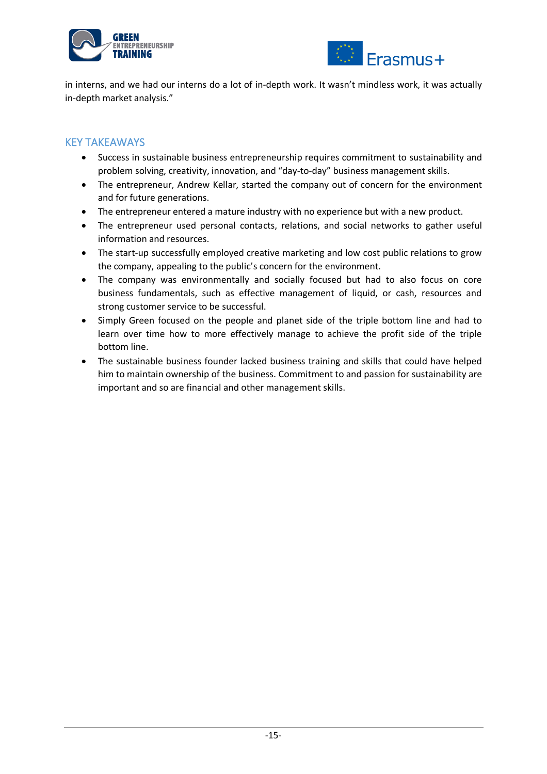



in interns, and we had our interns do a lot of in-depth work. It wasn't mindless work, it was actually in-depth market analysis."

### KEY TAKEAWAYS

- Success in sustainable business entrepreneurship requires commitment to sustainability and problem solving, creativity, innovation, and "day-to-day" business management skills.
- The entrepreneur, Andrew Kellar, started the company out of concern for the environment and for future generations.
- The entrepreneur entered a mature industry with no experience but with a new product.
- The entrepreneur used personal contacts, relations, and social networks to gather useful information and resources.
- The start-up successfully employed creative marketing and low cost public relations to grow the company, appealing to the public's concern for the environment.
- The company was environmentally and socially focused but had to also focus on core business fundamentals, such as effective management of liquid, or cash, resources and strong customer service to be successful.
- Simply Green focused on the people and planet side of the triple bottom line and had to learn over time how to more effectively manage to achieve the profit side of the triple bottom line.
- The sustainable business founder lacked business training and skills that could have helped him to maintain ownership of the business. Commitment to and passion for sustainability are important and so are financial and other management skills.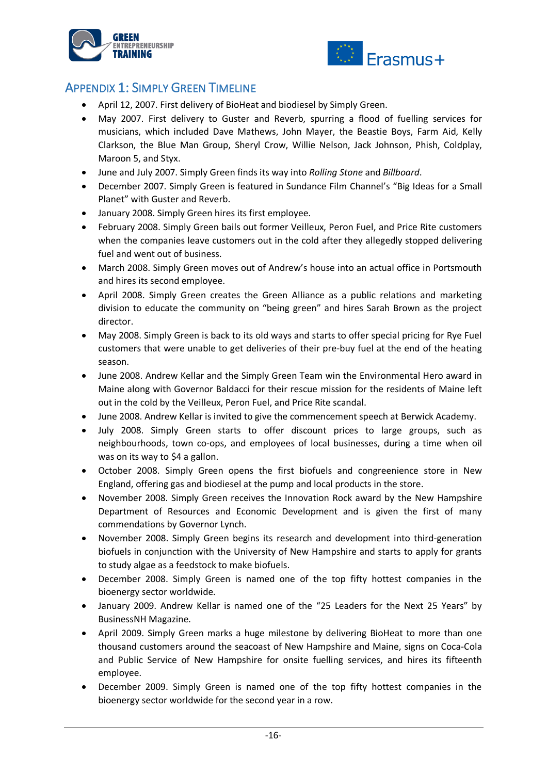



## APPENDIX 1: SIMPLY GREEN TIMELINE

- April 12, 2007. First delivery of BioHeat and biodiesel by Simply Green.
- May 2007. First delivery to Guster and Reverb, spurring a flood of fuelling services for musicians, which included Dave Mathews, John Mayer, the Beastie Boys, Farm Aid, Kelly Clarkson, the Blue Man Group, Sheryl Crow, Willie Nelson, Jack Johnson, Phish, Coldplay, Maroon 5, and Styx.
- June and July 2007. Simply Green finds its way into *Rolling Stone* and *Billboard*.
- December 2007. Simply Green is featured in Sundance Film Channel's "Big Ideas for a Small Planet" with Guster and Reverb.
- January 2008. Simply Green hires its first employee.
- February 2008. Simply Green bails out former Veilleux, Peron Fuel, and Price Rite customers when the companies leave customers out in the cold after they allegedly stopped delivering fuel and went out of business.
- March 2008. Simply Green moves out of Andrew's house into an actual office in Portsmouth and hires its second employee.
- April 2008. Simply Green creates the Green Alliance as a public relations and marketing division to educate the community on "being green" and hires Sarah Brown as the project director.
- May 2008. Simply Green is back to its old ways and starts to offer special pricing for Rye Fuel customers that were unable to get deliveries of their pre-buy fuel at the end of the heating season.
- June 2008. Andrew Kellar and the Simply Green Team win the Environmental Hero award in Maine along with Governor Baldacci for their rescue mission for the residents of Maine left out in the cold by the Veilleux, Peron Fuel, and Price Rite scandal.
- June 2008. Andrew Kellar is invited to give the commencement speech at Berwick Academy.
- July 2008. Simply Green starts to offer discount prices to large groups, such as neighbourhoods, town co-ops, and employees of local businesses, during a time when oil was on its way to \$4 a gallon.
- October 2008. Simply Green opens the first biofuels and congreenience store in New England, offering gas and biodiesel at the pump and local products in the store.
- November 2008. Simply Green receives the Innovation Rock award by the New Hampshire Department of Resources and Economic Development and is given the first of many commendations by Governor Lynch.
- November 2008. Simply Green begins its research and development into third-generation biofuels in conjunction with the University of New Hampshire and starts to apply for grants to study algae as a feedstock to make biofuels.
- December 2008. Simply Green is named one of the top fifty hottest companies in the bioenergy sector worldwide.
- January 2009. Andrew Kellar is named one of the "25 Leaders for the Next 25 Years" by BusinessNH Magazine.
- April 2009. Simply Green marks a huge milestone by delivering BioHeat to more than one thousand customers around the seacoast of New Hampshire and Maine, signs on Coca-Cola and Public Service of New Hampshire for onsite fuelling services, and hires its fifteenth employee.
- December 2009. Simply Green is named one of the top fifty hottest companies in the bioenergy sector worldwide for the second year in a row.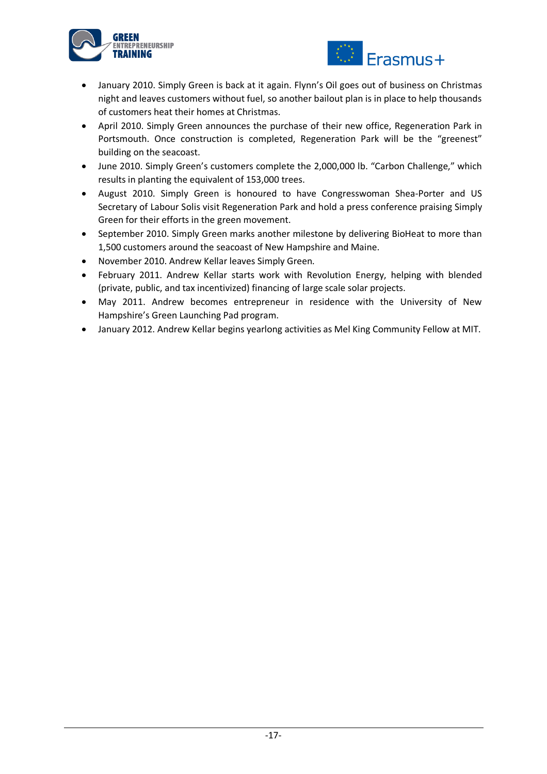



- January 2010. Simply Green is back at it again. Flynn's Oil goes out of business on Christmas night and leaves customers without fuel, so another bailout plan is in place to help thousands of customers heat their homes at Christmas.
- April 2010. Simply Green announces the purchase of their new office, Regeneration Park in Portsmouth. Once construction is completed, Regeneration Park will be the "greenest" building on the seacoast.
- June 2010. Simply Green's customers complete the 2,000,000 lb. "Carbon Challenge," which results in planting the equivalent of 153,000 trees.
- August 2010. Simply Green is honoured to have Congresswoman Shea-Porter and US Secretary of Labour Solis visit Regeneration Park and hold a press conference praising Simply Green for their efforts in the green movement.
- September 2010. Simply Green marks another milestone by delivering BioHeat to more than 1,500 customers around the seacoast of New Hampshire and Maine.
- November 2010. Andrew Kellar leaves Simply Green.
- February 2011. Andrew Kellar starts work with Revolution Energy, helping with blended (private, public, and tax incentivized) financing of large scale solar projects.
- May 2011. Andrew becomes entrepreneur in residence with the University of New Hampshire's Green Launching Pad program.
- January 2012. Andrew Kellar begins yearlong activities as Mel King Community Fellow at MIT.